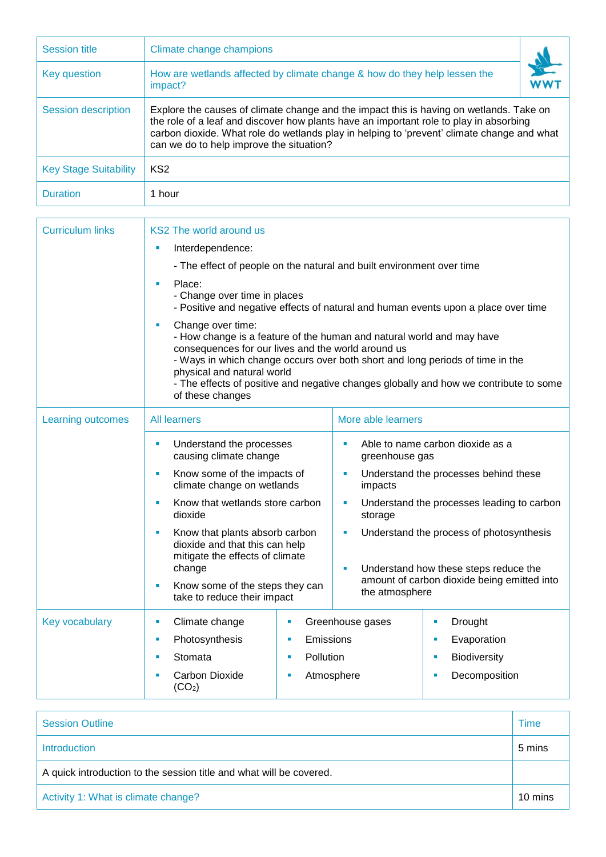| <b>Session title</b>         | Climate change champions                                                                                                                                                                                                                                                                                                    |  |  |  |  |
|------------------------------|-----------------------------------------------------------------------------------------------------------------------------------------------------------------------------------------------------------------------------------------------------------------------------------------------------------------------------|--|--|--|--|
| Key question                 | How are wetlands affected by climate change & how do they help lessen the<br>impact?                                                                                                                                                                                                                                        |  |  |  |  |
| <b>Session description</b>   | Explore the causes of climate change and the impact this is having on wetlands. Take on<br>the role of a leaf and discover how plants have an important role to play in absorbing<br>carbon dioxide. What role do wetlands play in helping to 'prevent' climate change and what<br>can we do to help improve the situation? |  |  |  |  |
| <b>Key Stage Suitability</b> | KS <sub>2</sub>                                                                                                                                                                                                                                                                                                             |  |  |  |  |
| <b>Duration</b>              | 1 hour                                                                                                                                                                                                                                                                                                                      |  |  |  |  |

r

| <b>Curriculum links</b> | <b>KS2 The world around us</b>                                                                                                                                                                                                                                                                                                                                                                                                                                                                                                                                                                  |                |                                                                      |                                                                                      |  |  |
|-------------------------|-------------------------------------------------------------------------------------------------------------------------------------------------------------------------------------------------------------------------------------------------------------------------------------------------------------------------------------------------------------------------------------------------------------------------------------------------------------------------------------------------------------------------------------------------------------------------------------------------|----------------|----------------------------------------------------------------------|--------------------------------------------------------------------------------------|--|--|
|                         | Interdependence:<br>×                                                                                                                                                                                                                                                                                                                                                                                                                                                                                                                                                                           |                |                                                                      |                                                                                      |  |  |
|                         | - The effect of people on the natural and built environment over time<br>Place:<br>٠<br>- Change over time in places<br>- Positive and negative effects of natural and human events upon a place over time<br>Change over time:<br>×<br>- How change is a feature of the human and natural world and may have<br>consequences for our lives and the world around us<br>- Ways in which change occurs over both short and long periods of time in the<br>physical and natural world<br>- The effects of positive and negative changes globally and how we contribute to some<br>of these changes |                |                                                                      |                                                                                      |  |  |
|                         |                                                                                                                                                                                                                                                                                                                                                                                                                                                                                                                                                                                                 |                |                                                                      |                                                                                      |  |  |
|                         |                                                                                                                                                                                                                                                                                                                                                                                                                                                                                                                                                                                                 |                |                                                                      |                                                                                      |  |  |
| Learning outcomes       | <b>All learners</b>                                                                                                                                                                                                                                                                                                                                                                                                                                                                                                                                                                             |                | More able learners                                                   |                                                                                      |  |  |
|                         | Understand the processes<br>×<br>causing climate change                                                                                                                                                                                                                                                                                                                                                                                                                                                                                                                                         |                | Able to name carbon dioxide as a<br>$\blacksquare$<br>greenhouse gas |                                                                                      |  |  |
|                         | Know some of the impacts of<br>ш<br>climate change on wetlands<br>Know that wetlands store carbon<br>×<br>dioxide<br>Know that plants absorb carbon<br>a.<br>dioxide and that this can help<br>mitigate the effects of climate<br>change<br>Know some of the steps they can<br>I.<br>take to reduce their impact                                                                                                                                                                                                                                                                                |                | Ù,<br>impacts                                                        | Understand the processes behind these                                                |  |  |
|                         |                                                                                                                                                                                                                                                                                                                                                                                                                                                                                                                                                                                                 |                | Understand the processes leading to carbon<br>×<br>storage           |                                                                                      |  |  |
|                         |                                                                                                                                                                                                                                                                                                                                                                                                                                                                                                                                                                                                 |                | Ì.                                                                   | Understand the process of photosynthesis                                             |  |  |
|                         |                                                                                                                                                                                                                                                                                                                                                                                                                                                                                                                                                                                                 |                | ٠<br>the atmosphere                                                  | Understand how these steps reduce the<br>amount of carbon dioxide being emitted into |  |  |
| <b>Key vocabulary</b>   | Climate change<br>$\blacksquare$                                                                                                                                                                                                                                                                                                                                                                                                                                                                                                                                                                | ×              | Greenhouse gases                                                     | Drought<br>×                                                                         |  |  |
|                         | Photosynthesis<br>ш                                                                                                                                                                                                                                                                                                                                                                                                                                                                                                                                                                             | Emissions<br>× |                                                                      | Evaporation<br>u,                                                                    |  |  |
|                         | Stomata<br>٠                                                                                                                                                                                                                                                                                                                                                                                                                                                                                                                                                                                    | Pollution<br>٠ |                                                                      | <b>Biodiversity</b><br>×                                                             |  |  |
|                         | Carbon Dioxide<br>(CO <sub>2</sub> )                                                                                                                                                                                                                                                                                                                                                                                                                                                                                                                                                            |                | Atmosphere                                                           | Decomposition<br>×                                                                   |  |  |

| <b>Session Outline</b>                                              | Time    |  |
|---------------------------------------------------------------------|---------|--|
| <b>Introduction</b>                                                 | 5 mins  |  |
| A quick introduction to the session title and what will be covered. |         |  |
| Activity 1: What is climate change?                                 | 10 mins |  |